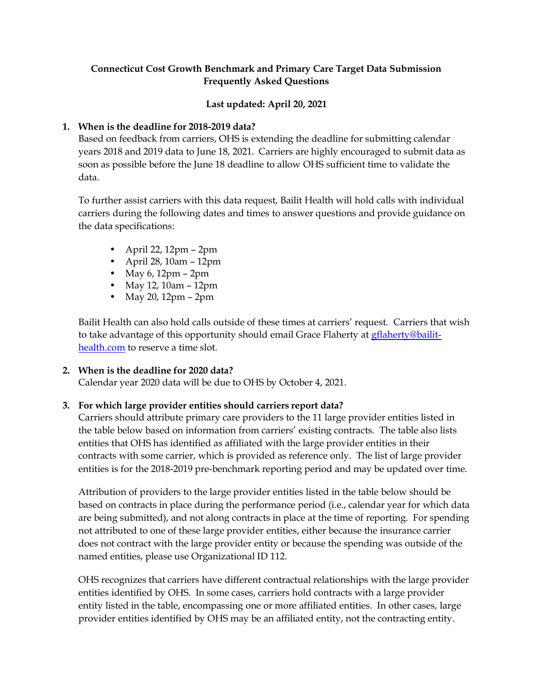# **Connecticut Cost Growth Benchmark and Primary Care Target Data Submission Frequently Asked Questions**

### **Last updated: April 20, 2021**

## **1. When is the deadline for 2018-2019 data?**

Based on feedback from carriers, OHS is extending the deadline for submitting calendar years 2018 and 2019 data to June 18, 2021. Carriers are highly encouraged to submit data as soon as possible before the June 18 deadline to allow OHS sufficient time to validate the data.

To further assist carriers with this data request, Bailit Health will hold calls with individual carriers during the following dates and times to answer questions and provide guidance on the data specifications:

- April 22, 12pm 2pm
- April 28, 10am 12pm
- May 6, 12pm 2pm
- May 12, 10am 12pm
- May 20, 12pm 2pm

Bailit Health can also hold calls outside of these times at carriers' request. Carriers that wish to take advantage of this opportunity should email Grace Flaherty at **gflaherty@bailit**[health.com](mailto:gflaherty@bailit-health.com) to reserve a time slot.

# **2. When is the deadline for 2020 data?**

Calendar year 2020 data will be due to OHS by October 4, 2021.

# **3. For which large provider entities should carriers report data?**

Carriers should attribute primary care providers to the 11 large provider entities listed in the table below based on information from carriers' existing contracts. The table also lists entities that OHS has identified as affiliated with the large provider entities in their contracts with some carrier, which is provided as reference only. The list of large provider entities is for the 2018-2019 pre-benchmark reporting period and may be updated over time.

Attribution of providers to the large provider entities listed in the table below should be based on contracts in place during the performance period (i.e., calendar year for which data are being submitted), and not along contracts in place at the time of reporting. For spending not attributed to one of these large provider entities, either because the insurance carrier does not contract with the large provider entity or because the spending was outside of the named entities, please use Organizational ID 112.

OHS recognizes that carriers have different contractual relationships with the large provider entities identified by OHS. In some cases, carriers hold contracts with a large provider entity listed in the table, encompassing one or more affiliated entities. In other cases, large provider entities identified by OHS may be an affiliated entity, not the contracting entity.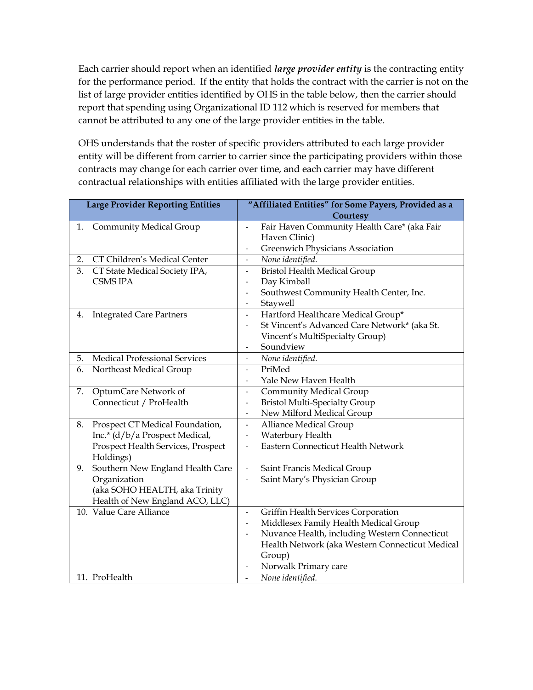Each carrier should report when an identified *large provider entity* is the contracting entity for the performance period. If the entity that holds the contract with the carrier is not on the list of large provider entities identified by OHS in the table below, then the carrier should report that spending using Organizational ID 112 which is reserved for members that cannot be attributed to any one of the large provider entities in the table.

OHS understands that the roster of specific providers attributed to each large provider entity will be different from carrier to carrier since the participating providers within those contracts may change for each carrier over time, and each carrier may have different contractual relationships with entities affiliated with the large provider entities.

| <b>Large Provider Reporting Entities</b> | "Affiliated Entities" for Some Payers, Provided as a                      |
|------------------------------------------|---------------------------------------------------------------------------|
|                                          | Courtesy                                                                  |
| Community Medical Group<br>1.            | Fair Haven Community Health Care* (aka Fair<br>$\overline{a}$             |
|                                          | Haven Clinic)                                                             |
|                                          | Greenwich Physicians Association<br>$\overline{\phantom{a}}$              |
| CT Children's Medical Center<br>2.       | None identified.<br>$\blacksquare$                                        |
| 3.<br>CT State Medical Society IPA,      | <b>Bristol Health Medical Group</b><br>$\blacksquare$                     |
| <b>CSMS IPA</b>                          | Day Kimball<br>$\overline{\phantom{a}}$                                   |
|                                          | Southwest Community Health Center, Inc.<br>$\overline{\phantom{a}}$       |
|                                          | Staywell<br>$\blacksquare$                                                |
| <b>Integrated Care Partners</b><br>4.    | Hartford Healthcare Medical Group*<br>$\overline{\phantom{a}}$            |
|                                          | St Vincent's Advanced Care Network* (aka St.                              |
|                                          | Vincent's MultiSpecialty Group)                                           |
|                                          | Soundview<br>$\overline{\phantom{a}}$                                     |
| Medical Professional Services<br>5.      | None identified.<br>$\overline{\phantom{a}}$                              |
| 6.<br>Northeast Medical Group            | PriMed<br>$\blacksquare$                                                  |
|                                          | Yale New Haven Health<br>$\overline{\phantom{a}}$                         |
| OptumCare Network of<br>7.               | <b>Community Medical Group</b><br>$\overline{\phantom{a}}$                |
| Connecticut / ProHealth                  | <b>Bristol Multi-Specialty Group</b><br>$\blacksquare$                    |
|                                          | New Milford Medical Group<br>$\overline{\phantom{a}}$                     |
| Prospect CT Medical Foundation,<br>8.    | Alliance Medical Group<br>$\overline{\phantom{a}}$                        |
| Inc.* (d/b/a Prospect Medical,           | Waterbury Health<br>$\frac{1}{2}$                                         |
| Prospect Health Services, Prospect       | Eastern Connecticut Health Network                                        |
| Holdings)                                |                                                                           |
| Southern New England Health Care<br>9.   | Saint Francis Medical Group<br>$\overline{\phantom{a}}$                   |
| Organization                             | Saint Mary's Physician Group                                              |
| (aka SOHO HEALTH, aka Trinity            |                                                                           |
| Health of New England ACO, LLC)          |                                                                           |
| 10. Value Care Alliance                  | Griffin Health Services Corporation<br>$\overline{\phantom{a}}$           |
|                                          | Middlesex Family Health Medical Group<br>$\overline{\phantom{a}}$         |
|                                          | Nuvance Health, including Western Connecticut<br>$\overline{\phantom{a}}$ |
|                                          | Health Network (aka Western Connecticut Medical                           |
|                                          | Group)                                                                    |
|                                          | Norwalk Primary care                                                      |
| 11. ProHealth                            | None identified.<br>$\overline{\phantom{a}}$                              |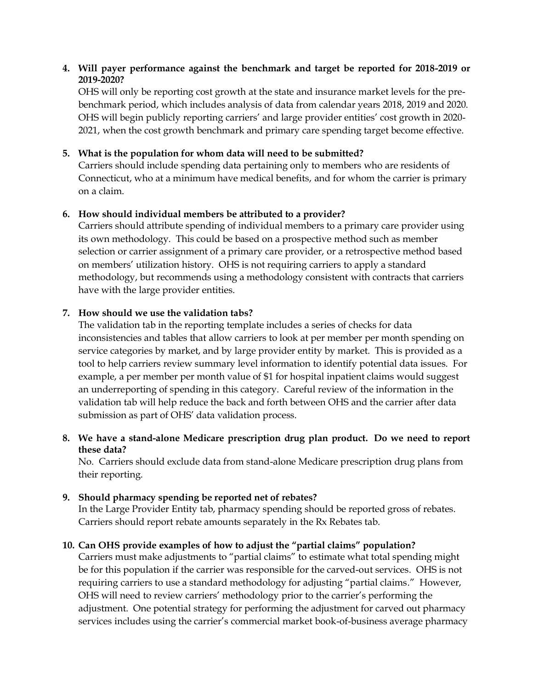### **4. Will payer performance against the benchmark and target be reported for 2018-2019 or 2019-2020?**

OHS will only be reporting cost growth at the state and insurance market levels for the prebenchmark period, which includes analysis of data from calendar years 2018, 2019 and 2020. OHS will begin publicly reporting carriers' and large provider entities' cost growth in 2020- 2021, when the cost growth benchmark and primary care spending target become effective.

## **5. What is the population for whom data will need to be submitted?**

Carriers should include spending data pertaining only to members who are residents of Connecticut, who at a minimum have medical benefits, and for whom the carrier is primary on a claim.

## **6. How should individual members be attributed to a provider?**

Carriers should attribute spending of individual members to a primary care provider using its own methodology. This could be based on a prospective method such as member selection or carrier assignment of a primary care provider, or a retrospective method based on members' utilization history. OHS is not requiring carriers to apply a standard methodology, but recommends using a methodology consistent with contracts that carriers have with the large provider entities.

### **7. How should we use the validation tabs?**

The validation tab in the reporting template includes a series of checks for data inconsistencies and tables that allow carriers to look at per member per month spending on service categories by market, and by large provider entity by market. This is provided as a tool to help carriers review summary level information to identify potential data issues. For example, a per member per month value of \$1 for hospital inpatient claims would suggest an underreporting of spending in this category. Careful review of the information in the validation tab will help reduce the back and forth between OHS and the carrier after data submission as part of OHS' data validation process.

# **8. We have a stand-alone Medicare prescription drug plan product. Do we need to report these data?**

No. Carriers should exclude data from stand-alone Medicare prescription drug plans from their reporting.

### **9. Should pharmacy spending be reported net of rebates?**

In the Large Provider Entity tab, pharmacy spending should be reported gross of rebates. Carriers should report rebate amounts separately in the Rx Rebates tab.

# **10. Can OHS provide examples of how to adjust the "partial claims" population?**

Carriers must make adjustments to "partial claims" to estimate what total spending might be for this population if the carrier was responsible for the carved-out services. OHS is not requiring carriers to use a standard methodology for adjusting "partial claims." However, OHS will need to review carriers' methodology prior to the carrier's performing the adjustment. One potential strategy for performing the adjustment for carved out pharmacy services includes using the carrier's commercial market book-of-business average pharmacy